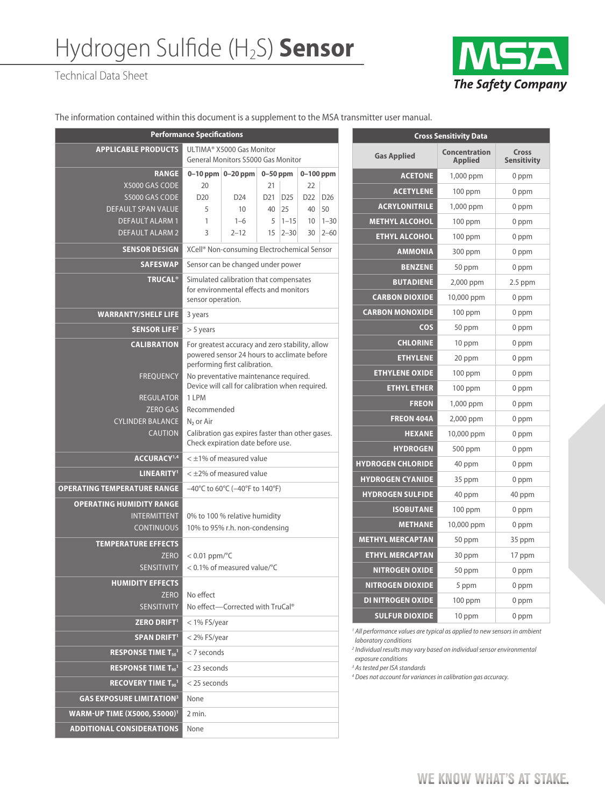## Hydrogen Sulfide (H2S) **Sensor**

Technical Data Sheet



The information contained within this document is a supplement to the MSA transmitter user manual.

| <b>Performance Specifications</b>                |                                                                                                                                 |                      |                 |                 |                 |                 |  |  |
|--------------------------------------------------|---------------------------------------------------------------------------------------------------------------------------------|----------------------|-----------------|-----------------|-----------------|-----------------|--|--|
| <b>APPLICABLE PRODUCTS</b>                       | ULTIMA® X5000 Gas Monitor<br><b>General Monitors S5000 Gas Monitor</b>                                                          |                      |                 |                 |                 |                 |  |  |
| <b>RANGE</b>                                     |                                                                                                                                 | 0-10 ppm $ 0-20$ ppm | $0-50$ ppm      |                 | $0-100$ ppm     |                 |  |  |
| X5000 GAS CODE                                   | 20                                                                                                                              |                      | 21              |                 | 22              |                 |  |  |
| S5000 GAS CODE                                   | D <sub>20</sub>                                                                                                                 | D <sub>24</sub>      | D <sub>21</sub> | D <sub>25</sub> | D <sub>22</sub> | D <sub>26</sub> |  |  |
| <b>DEFAULT SPAN VALUE</b>                        | 5                                                                                                                               | 10                   | 40              | 25              | 40              | 50              |  |  |
| <b>DEFAULT ALARM 1</b>                           | 1                                                                                                                               | $1 - 6$              | 5               | $1 - 15$        | 10              | $1 - 30$        |  |  |
| <b>DEFAULT ALARM 2</b>                           | 3                                                                                                                               | $2 - 12$             | 15              | $2 - 30$        | 30              | $2 - 60$        |  |  |
| <b>SENSOR DESIGN</b>                             | XCell <sup>®</sup> Non-consuming Electrochemical Sensor                                                                         |                      |                 |                 |                 |                 |  |  |
| <b>SAFESWAP</b>                                  | Sensor can be changed under power                                                                                               |                      |                 |                 |                 |                 |  |  |
| <b>TRUCAL<sup>®</sup></b>                        | Simulated calibration that compensates<br>for environmental effects and monitors<br>sensor operation.                           |                      |                 |                 |                 |                 |  |  |
| <b>WARRANTY/SHELF LIFE</b>                       | 3 years                                                                                                                         |                      |                 |                 |                 |                 |  |  |
| <b>SENSOR LIFE<sup>2</sup></b>                   | $> 5$ years                                                                                                                     |                      |                 |                 |                 |                 |  |  |
| <b>CALIBRATION</b>                               | For greatest accuracy and zero stability, allow<br>powered sensor 24 hours to acclimate before<br>performing first calibration. |                      |                 |                 |                 |                 |  |  |
| <b>FREOUENCY</b>                                 | No preventative maintenance required.<br>Device will call for calibration when required.                                        |                      |                 |                 |                 |                 |  |  |
| <b>REGULATOR</b>                                 | $1$   PM                                                                                                                        |                      |                 |                 |                 |                 |  |  |
| <b>ZERO GAS</b>                                  | Recommended                                                                                                                     |                      |                 |                 |                 |                 |  |  |
| <b>CYLINDER BALANCE</b>                          | $N2$ or Air                                                                                                                     |                      |                 |                 |                 |                 |  |  |
| <b>CAUTION</b>                                   | Calibration gas expires faster than other gases.<br>Check expiration date before use.                                           |                      |                 |                 |                 |                 |  |  |
| ACCURACY <sup>1,4</sup>                          | $<$ ±1% of measured value                                                                                                       |                      |                 |                 |                 |                 |  |  |
| LINEARITY <sup>1</sup>                           | $<$ $\pm$ 2% of measured value                                                                                                  |                      |                 |                 |                 |                 |  |  |
| <b>OPERATING TEMPERATURE RANGE</b>               | $-40^{\circ}$ C to 60 $^{\circ}$ C ( $-40^{\circ}$ F to 140 $^{\circ}$ F)                                                       |                      |                 |                 |                 |                 |  |  |
| <b>OPERATING HUMIDITY RANGE</b>                  |                                                                                                                                 |                      |                 |                 |                 |                 |  |  |
| <b>INTERMITTENT</b>                              | 0% to 100 % relative humidity                                                                                                   |                      |                 |                 |                 |                 |  |  |
| <b>CONTINUOUS</b>                                | 10% to 95% r.h. non-condensing                                                                                                  |                      |                 |                 |                 |                 |  |  |
| <b>TEMPERATURE EFFECTS</b>                       |                                                                                                                                 |                      |                 |                 |                 |                 |  |  |
| <b>ZERO</b>                                      | $< 0.01$ ppm/ $oC$                                                                                                              |                      |                 |                 |                 |                 |  |  |
| <b>SENSITIVITY</b>                               | < 0.1% of measured value/°C                                                                                                     |                      |                 |                 |                 |                 |  |  |
| <b>HUMIDITY EFFECTS</b>                          |                                                                                                                                 |                      |                 |                 |                 |                 |  |  |
| <b>ZERO</b>                                      | No effect                                                                                                                       |                      |                 |                 |                 |                 |  |  |
| <b>SENSITIVITY</b>                               | No effect-Corrected with TruCal®                                                                                                |                      |                 |                 |                 |                 |  |  |
| <b>ZERO DRIFT1</b>                               | $<$ 1% FS/year                                                                                                                  |                      |                 |                 |                 |                 |  |  |
| <b>SPAN DRIFT1</b>                               | < 2% FS/year                                                                                                                    |                      |                 |                 |                 |                 |  |  |
| RESPONSE TIME $T_{50}$ <sup>1</sup>              | $<$ 7 seconds                                                                                                                   |                      |                 |                 |                 |                 |  |  |
| <b>RESPONSE TIME T<sub>90</sub></b> <sup>1</sup> | < 23 seconds                                                                                                                    |                      |                 |                 |                 |                 |  |  |
| RECOVERY TIME $T_{90}$ <sup>1</sup>              | < 25 seconds                                                                                                                    |                      |                 |                 |                 |                 |  |  |
| <b>GAS EXPOSURE LIMITATION3</b>                  | None                                                                                                                            |                      |                 |                 |                 |                 |  |  |
| <b>WARM-UP TIME (X5000, S5000)</b> <sup>1</sup>  | 2 min.                                                                                                                          |                      |                 |                 |                 |                 |  |  |
| <b>ADDITIONAL CONSIDERATIONS</b>                 | None                                                                                                                            |                      |                 |                 |                 |                 |  |  |

| <b>Cross Sensitivity Data</b> |                                        |                             |  |  |  |
|-------------------------------|----------------------------------------|-----------------------------|--|--|--|
| <b>Gas Applied</b>            | <b>Concentration</b><br><b>Applied</b> | Cross<br><b>Sensitivity</b> |  |  |  |
| <b>ACETONE</b>                | 1,000 ppm                              | 0 ppm                       |  |  |  |
| <b>ACETYLENE</b>              | $100$ ppm                              | 0 ppm                       |  |  |  |
| <b>ACRYLONITRILE</b>          | 1,000 ppm                              | 0 ppm                       |  |  |  |
| <b>METHYL ALCOHOL</b>         | $100$ ppm                              | 0 ppm                       |  |  |  |
| <b>ETHYL ALCOHOL</b>          | $100$ ppm                              | 0 ppm                       |  |  |  |
| <b>AMMONIA</b>                | 300 ppm                                | 0 ppm                       |  |  |  |
| <b>BENZENE</b>                | 50 ppm                                 | 0 ppm                       |  |  |  |
| <b>BUTADIENE</b>              | 2,000 ppm                              | $2.5$ ppm                   |  |  |  |
| <b>CARBON DIOXIDE</b>         | 10,000 ppm                             | 0 ppm                       |  |  |  |
| <b>CARBON MONOXIDE</b>        | 100 ppm                                | 0 ppm                       |  |  |  |
| <b>COS</b>                    | 50 ppm                                 | 0 ppm                       |  |  |  |
| <b>CHLORINE</b>               | 10 ppm                                 | 0 ppm                       |  |  |  |
| <b>ETHYLENE</b>               | 20 ppm                                 | 0 ppm                       |  |  |  |
| <b>ETHYLENE OXIDE</b>         | $100$ ppm                              | 0 ppm                       |  |  |  |
| <b>ETHYL ETHER</b>            | $100$ ppm                              | 0 ppm                       |  |  |  |
| <b>FREON</b>                  | 1,000 ppm                              | 0 ppm                       |  |  |  |
| <b>FREON 404A</b>             | 2,000 ppm                              | 0 ppm                       |  |  |  |
| <b>HEXANE</b>                 | 10,000 ppm                             | 0 ppm                       |  |  |  |
| <b>HYDROGEN</b>               | 500 ppm                                | $0$ ppm                     |  |  |  |
| <b>HYDROGEN CHLORIDE</b>      | 40 ppm                                 | 0 ppm                       |  |  |  |
| <b>HYDROGEN CYANIDE</b>       | 35 ppm                                 | 0 ppm                       |  |  |  |
| <b>HYDROGEN SULFIDE</b>       | 40 ppm                                 | 40 ppm                      |  |  |  |
| <b>ISOBUTANE</b>              | $100$ ppm                              | 0 ppm                       |  |  |  |
| <b>METHANE</b>                | 10,000 ppm                             | 0 ppm                       |  |  |  |
| <b>METHYL MERCAPTAN</b>       | 50 ppm                                 | 35 ppm                      |  |  |  |
| <b>ETHYL MERCAPTAN</b>        | 30 ppm                                 | 17 ppm                      |  |  |  |
| NITROGEN OXIDE                | 50 ppm                                 | 0 ppm                       |  |  |  |
| <b>NITROGEN DIOXIDE</b>       | 5 ppm                                  | 0 ppm                       |  |  |  |
| <b>DI NITROGEN OXIDE</b>      | $100$ ppm                              | 0 ppm                       |  |  |  |
| <b>SULFUR DIOXIDE</b>         | 10 ppm                                 | 0 ppm                       |  |  |  |

<sup>1</sup> All performance values are typical as applied to new sensors in ambient *laboratory conditions*

*2 Individual results may vary based on individual sensor environmental exposure conditions*

*3 As tested per ISA standards*

*4 Does not account for variances in calibration gas accuracy.*